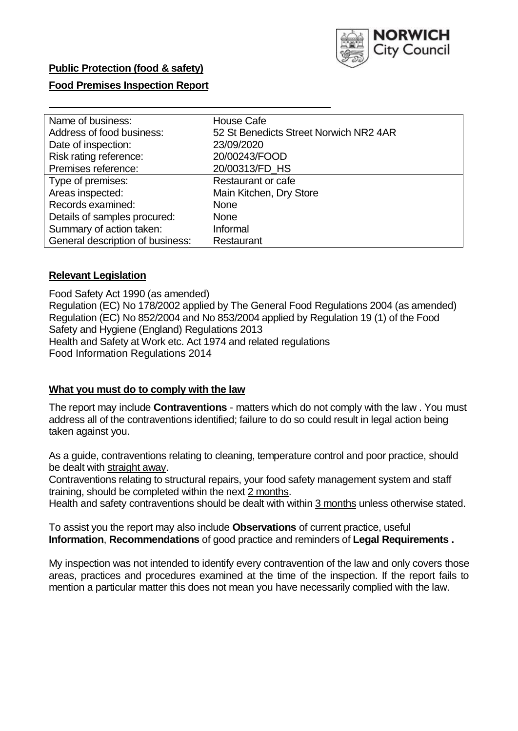

# **Public Protection (food & safety)**

## **Food Premises Inspection Report**

| Name of business:                | <b>House Cafe</b>                      |
|----------------------------------|----------------------------------------|
| Address of food business:        | 52 St Benedicts Street Norwich NR2 4AR |
| Date of inspection:              | 23/09/2020                             |
| Risk rating reference:           | 20/00243/FOOD                          |
| Premises reference:              | 20/00313/FD HS                         |
| Type of premises:                | Restaurant or cafe                     |
| Areas inspected:                 | Main Kitchen, Dry Store                |
| Records examined:                | <b>None</b>                            |
| Details of samples procured:     | <b>None</b>                            |
| Summary of action taken:         | Informal                               |
| General description of business: | Restaurant                             |

### **Relevant Legislation**

 Food Safety Act 1990 (as amended) Regulation (EC) No 178/2002 applied by The General Food Regulations 2004 (as amended) Regulation (EC) No 852/2004 and No 853/2004 applied by Regulation 19 (1) of the Food Safety and Hygiene (England) Regulations 2013 Health and Safety at Work etc. Act 1974 and related regulations Food Information Regulations 2014

#### **What you must do to comply with the law**

 The report may include **Contraventions** - matters which do not comply with the law . You must address all of the contraventions identified; failure to do so could result in legal action being taken against you.

 As a guide, contraventions relating to cleaning, temperature control and poor practice, should be dealt with straight away.

 Contraventions relating to structural repairs, your food safety management system and staff training, should be completed within the next 2 months.

Health and safety contraventions should be dealt with within 3 months unless otherwise stated.

 To assist you the report may also include **Observations** of current practice, useful **Information**, **Recommendations** of good practice and reminders of **Legal Requirements .** 

 My inspection was not intended to identify every contravention of the law and only covers those areas, practices and procedures examined at the time of the inspection. If the report fails to mention a particular matter this does not mean you have necessarily complied with the law.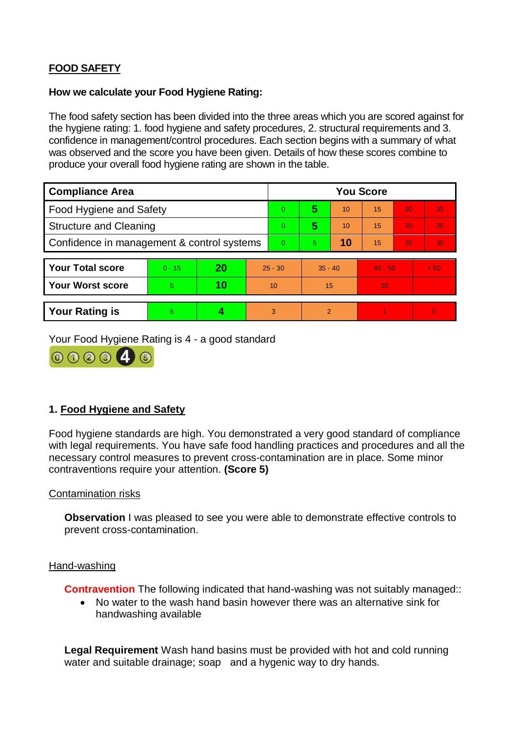# **FOOD SAFETY**

### **How we calculate your Food Hygiene Rating:**

 The food safety section has been divided into the three areas which you are scored against for the hygiene rating: 1. food hygiene and safety procedures, 2. structural requirements and 3. confidence in management/control procedures. Each section begins with a summary of what was observed and the score you have been given. Details of how these scores combine to produce your overall food hygiene rating are shown in the table.

| <b>Compliance Area</b>                     |          |    |           | <b>You Score</b> |                |    |                 |    |          |  |  |
|--------------------------------------------|----------|----|-----------|------------------|----------------|----|-----------------|----|----------|--|--|
| Food Hygiene and Safety                    |          |    |           | $\overline{0}$   | 5              | 10 | $\overline{15}$ | 20 | 25       |  |  |
| <b>Structure and Cleaning</b>              |          |    |           | $\Omega$         | 5              | 10 | 15              | 20 | 25       |  |  |
| Confidence in management & control systems |          |    | $\Omega$  | 5                | 10             | 15 | 20              | 30 |          |  |  |
|                                            |          |    |           |                  |                |    |                 |    |          |  |  |
| <b>Your Total score</b>                    | $0 - 15$ | 20 | $25 - 30$ |                  | $35 - 40$      |    | $45 - 50$       |    | > 50     |  |  |
| <b>Your Worst score</b>                    | 5        | 10 | 10        |                  | 15             |    | 20              |    |          |  |  |
|                                            |          |    |           |                  |                |    |                 |    |          |  |  |
| <b>Your Rating is</b>                      | 5        |    |           | 3                | $\overline{2}$ |    |                 |    | $\Omega$ |  |  |

Your Food Hygiene Rating is 4 - a good standard



# **1. Food Hygiene and Safety**

 with legal requirements. You have safe food handling practices and procedures and all the necessary control measures to prevent cross-contamination are in place. Some minor Food hygiene standards are high. You demonstrated a very good standard of compliance contraventions require your attention. **(Score 5)** 

#### Contamination risks

**Observation** I was pleased to see you were able to demonstrate effective controls to prevent cross-contamination.

#### Hand-washing

**Contravention** The following indicated that hand-washing was not suitably managed::

 handwashing available No water to the wash hand basin however there was an alternative sink for

 **Legal Requirement** Wash hand basins must be provided with hot and cold running water and suitable drainage; soap and a hygenic way to dry hands.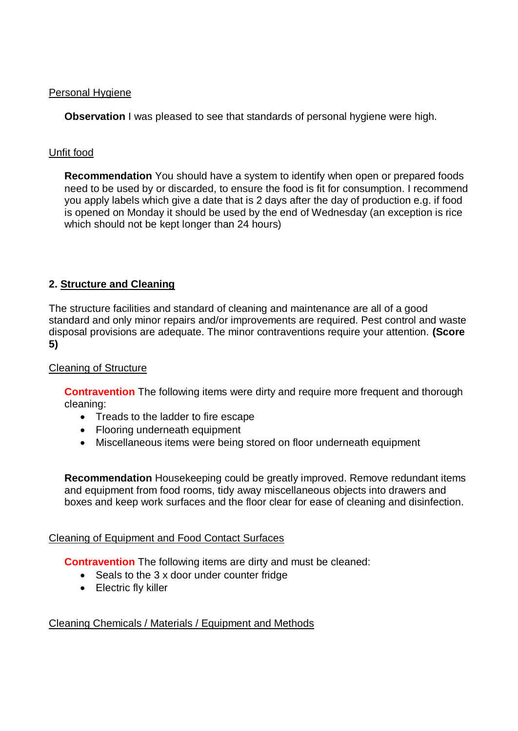### Personal Hygiene

**Observation** I was pleased to see that standards of personal hygiene were high.

# Unfit food

 **Recommendation** You should have a system to identify when open or prepared foods you apply labels which give a date that is 2 days after the day of production e.g. if food is opened on Monday it should be used by the end of Wednesday (an exception is rice need to be used by or discarded, to ensure the food is fit for consumption. I recommend which should not be kept longer than 24 hours)

# **2. Structure and Cleaning**

The structure facilities and standard of cleaning and maintenance are all of a good standard and only minor repairs and/or improvements are required. Pest control and waste disposal provisions are adequate. The minor contraventions require your attention. **(Score 5)** 

## Cleaning of Structure

**Contravention** The following items were dirty and require more frequent and thorough cleaning:

- Treads to the ladder to fire escape
- Flooring underneath equipment
- Miscellaneous items were being stored on floor underneath equipment

**Recommendation** Housekeeping could be greatly improved. Remove redundant items and equipment from food rooms, tidy away miscellaneous objects into drawers and boxes and keep work surfaces and the floor clear for ease of cleaning and disinfection.

### Cleaning of Equipment and Food Contact Surfaces

**Contravention** The following items are dirty and must be cleaned:

- Seals to the 3 x door under counter fridge
- Electric fly killer

# Cleaning Chemicals / Materials / Equipment and Methods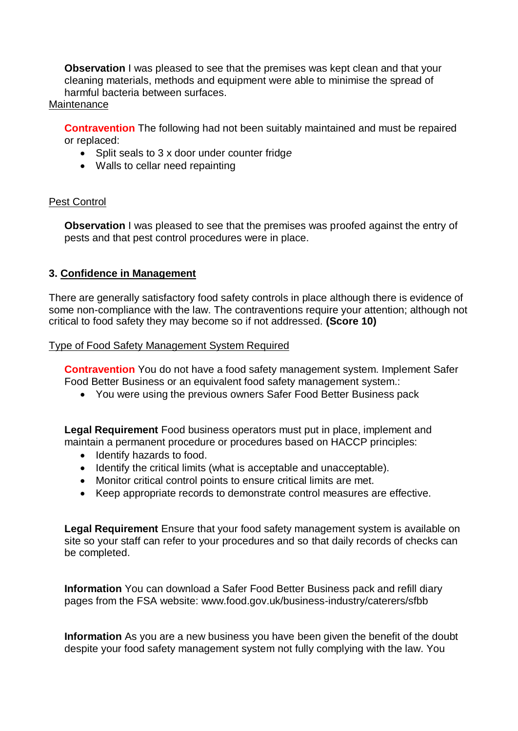**Observation** I was pleased to see that the premises was kept clean and that your cleaning materials, methods and equipment were able to minimise the spread of harmful bacteria between surfaces.

### **Maintenance**

**Contravention** The following had not been suitably maintained and must be repaired or replaced:

- Split seals to 3 x door under counter fridg*e*
- Walls to cellar need repainting

## Pest Control

**Observation** I was pleased to see that the premises was proofed against the entry of pests and that pest control procedures were in place.

## **3. Confidence in Management**

 There are generally satisfactory food safety controls in place although there is evidence of some non-compliance with the law. The contraventions require your attention; although not critical to food safety they may become so if not addressed. **(Score 10)** 

### Type of Food Safety Management System Required

**Contravention** You do not have a food safety management system. Implement Safer Food Better Business or an equivalent food safety management system.:

You were using the previous owners Safer Food Better Business pack

**Legal Requirement** Food business operators must put in place, implement and maintain a permanent procedure or procedures based on HACCP principles:

- Identify hazards to food.
- Identify the critical limits (what is acceptable and unacceptable).
- Monitor critical control points to ensure critical limits are met.
- Keep appropriate records to demonstrate control measures are effective.

 **Legal Requirement** Ensure that your food safety management system is available on site so your staff can refer to your procedures and so that daily records of checks can be completed.

**Information** You can download a Safer Food Better Business pack and refill diary pages from the FSA website: <www.food.gov.uk/business-industry/caterers/sfbb>

 despite your food safety management system not fully complying with the law. You **Information** As you are a new business you have been given the benefit of the doubt